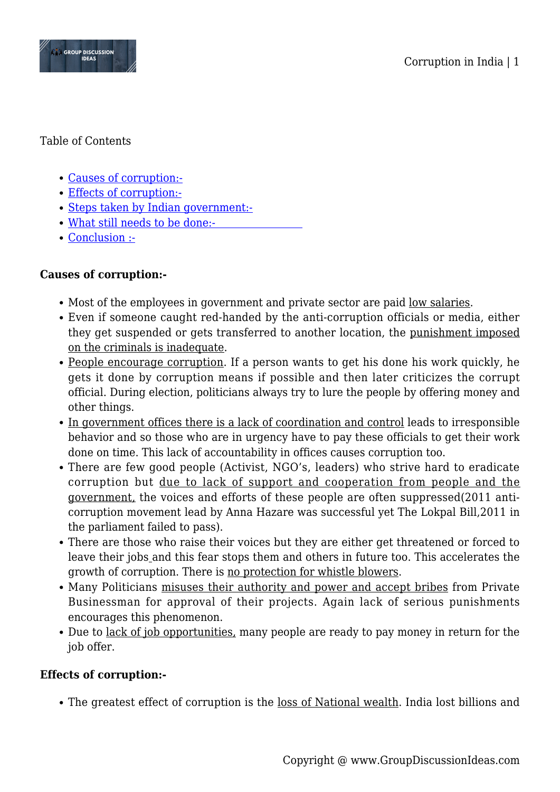



### Table of Contents

- [Causes of corruption:-](#page--1-0)
- [Effects of corruption:-](#page--1-0)
- [Steps taken by Indian government:-](#page--1-0)
- [What still needs to be done:-](#page--1-0)
- [Conclusion :-](#page--1-0)

## **Causes of corruption:-**

- Most of the employees in government and private sector are paid <u>low salaries</u>.
- Even if someone caught red-handed by the anti-corruption officials or media, either they get suspended or gets transferred to another location, the punishment imposed on the criminals is inadequate.
- People encourage corruption. If a person wants to get his done his work quickly, he gets it done by corruption means if possible and then later criticizes the corrupt official. During election, politicians always try to lure the people by offering money and other things.
- In government offices there is a lack of coordination and control leads to irresponsible behavior and so those who are in urgency have to pay these officials to get their work done on time. This lack of accountability in offices causes corruption too.
- There are few good people (Activist, NGO's, leaders) who strive hard to eradicate corruption but due to lack of support and cooperation from people and the government, the voices and efforts of these people are often suppressed(2011 anticorruption movement lead by Anna Hazare was successful yet The Lokpal Bill,2011 in the parliament failed to pass).
- There are those who raise their voices but they are either get threatened or forced to leave their jobs and this fear stops them and others in future too. This accelerates the growth of corruption. There is no protection for whistle blowers.
- Many Politicians misuses their authority and power and accept bribes from Private Businessman for approval of their projects. Again lack of serious punishments encourages this phenomenon.
- Due to <u>lack of job opportunities</u>, many people are ready to pay money in return for the job offer.

## **Effects of corruption:-**

• The greatest effect of corruption is the <u>loss of National wealth</u>. India lost billions and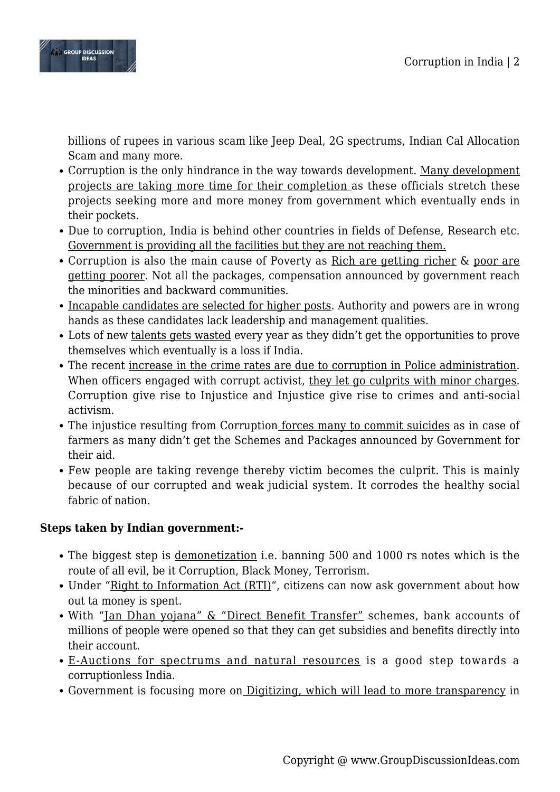

billions of rupees in various scam like Jeep Deal, 2G spectrums, Indian Cal Allocation Scam and many more.

- Corruption is the only hindrance in the way towards development. Many development projects are taking more time for their completion as these officials stretch these projects seeking more and more money from government which eventually ends in their pockets.
- Due to corruption, India is behind other countries in fields of Defense, Research etc. Government is providing all the facilities but they are not reaching them.
- Corruption is also the main cause of Poverty as Rich are getting richer & poor are getting poorer. Not all the packages, compensation announced by government reach the minorities and backward communities.
- Incapable candidates are selected for higher posts. Authority and powers are in wrong hands as these candidates lack leadership and management qualities.
- Lots of new talents gets wasted every year as they didn't get the opportunities to prove themselves which eventually is a loss if India.
- The recent increase in the crime rates are due to corruption in Police administration. When officers engaged with corrupt activist, they let go culprits with minor charges. Corruption give rise to Injustice and Injustice give rise to crimes and anti-social activism.
- The injustice resulting from Corruption <u>forces many to commit suicides</u> as in case of farmers as many didn't get the Schemes and Packages announced by Government for their aid.
- Few people are taking revenge thereby victim becomes the culprit. This is mainly because of our corrupted and weak judicial system. It corrodes the healthy social fabric of nation.

## **Steps taken by Indian government:-**

- The biggest step is <u>demonetization</u> i.e. banning 500 and 1000 rs notes which is the route of all evil, be it Corruption, Black Money, Terrorism.
- Under "Right to Information Act (RTI)", citizens can now ask government about how out ta money is spent.
- With "Jan Dhan yojana" & "Direct Benefit Transfer" schemes, bank accounts of millions of people were opened so that they can get subsidies and benefits directly into their account.
- E-Auctions for spectrums and natural resources is a good step towards a corruptionless India.
- Government is focusing more on Digitizing, which will lead to more transparency in